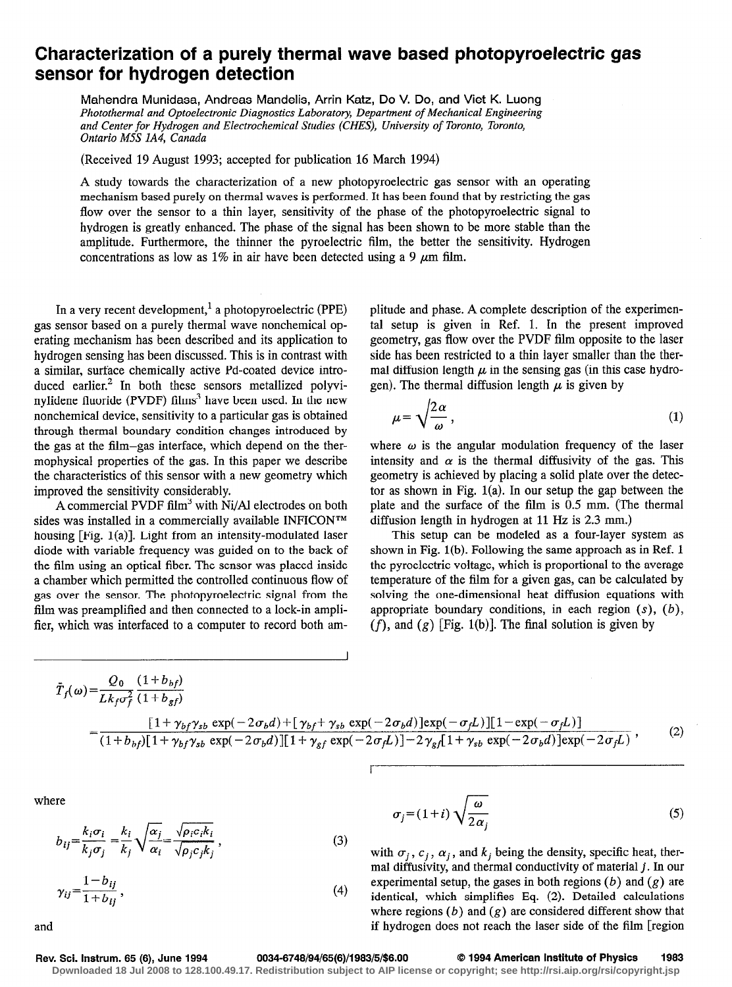# Characterization of a purely thermal wave based photopyroelectric gas sensor for hydrogen detection

Mahendra Munidasa, Andreas Mandelis, Arrin Katz, Do V. Do, and Viet K. Luong Photothermal and Optoelectronic Diagnostics Laboratory, Department of Mechanical Engineering and Center for Hydrogen and Electrochemical Studies (CHES), University of Toronto, Toronto, Ontario M5S lA4, Canada

(Received 19 August 1993; accepted for publication 16 March 1994)

A study towards the characterization of a new photopyroelectric gas sensor with an operating mechanism based purely on thermal waves is performed. It has been found that by restricting the gas flow over the sensor to a thin layer, sensitivity of the phase of the photopyroelectric signal to hydrogen is greatly enhanced. The phase of the signal has been shown to be more stable than the amplitude. Furthermore, the thinner the pyroelectric film, the better the sensitivity. Hydrogen concentrations as low as 1% in air have been detected using a 9  $\mu$ m film.

In a very recent development, $<sup>1</sup>$  a photopyroelectric (PPE)</sup> gas sensor based on a purely thermal wave nonchemical operating mechanism has been described and its application to hydrogen sensing has been discussed. This is in contrast with a similar, surface chemically active Pd-coated device introduced earlier.<sup>2</sup> In both these sensors metallized polyvinylidene fluoride (PVDF) films<sup>3</sup> have been used. In the new nonchemical device, sensitivity to a particular gas is obtained through thermal boundary condition changes introduced by the gas at the film-gas interface, which depend on the thermophysical properties of the gas. In this paper we describe the characteristics of this sensor with a new geometry which improved the sensitivity considerably.

A commercial PVDF film<sup>3</sup> with Ni/Al electrodes on both sides was installed in a commercially available INFICON<sup>TM</sup> housing  $[Fig. 1(a)]$ . Light from an intensity-modulated laser diode with variable frequency was guided on to the back of the film using an optical fiber. The sensor was placed inside a chamber which permitted the controlled continuous flow of gas over the sensor. The photopyroelectric signal from the film was preamplified and then connected to a lock-in amplifier, which was interfaced to a computer to record both amplitude and phase. A complete description of the experimental setup is given in Ref. 1. In the present improved geometry, gas flow over the PVDF film opposite to the laser side has been restricted to a thin layer smaller than the thermal diffusion length  $\mu$  in the sensing gas (in this case hydrogen). The thermal diffusion length  $\mu$  is given by

$$
\mu = \sqrt{\frac{2\alpha}{\omega}},\tag{1}
$$

where  $\omega$  is the angular modulation frequency of the laser intensity and  $\alpha$  is the thermal diffusivity of the gas. This geometry is achieved by placing a solid plate over the detector as shown in Fig. l(a). In our setup the gap between the plate and the surface of the film is 0.5 mm. (The thermal diffusion length in hydrogen at 11 Hz is 2.3 mm.)

This setup can be modeled as a four-layer system as shown in Fig. 1(b). Following the same approach as in Ref. 1 the pyroelectric voltage, which is proportional to the average temperature of the film for a given gas, can be calculated by solving the one-dimensional heat diffusion equations with appropriate boundary conditions, in each region  $(s)$ ,  $(b)$ ,  $(f)$ , and  $(g)$  [Fig. 1(b)]. The final solution is given by

$$
\bar{T}_{f}(\omega) = \frac{Q_{0}}{Lk_{f}\sigma_{f}^{2}} \frac{(1+b_{bf})}{(1+b_{bf})}
$$
\n
$$
= \frac{[1+\gamma_{bf}\gamma_{sb} \exp(-2\sigma_{b}d)+[\gamma_{bf}+\gamma_{sb} \exp(-2\sigma_{b}d)]\exp(-\sigma_{f}L)][1-\exp(-\sigma_{f}L)]}{(1+b_{bf})[1+\gamma_{bf}\gamma_{sb} \exp(-2\sigma_{b}d)][1+\gamma_{bf}\exp(-2\sigma_{f}L)]-2\gamma_{sf}[1+\gamma_{sb} \exp(-2\sigma_{b}d)]\exp(-2\sigma_{f}L)},
$$
\n(2)

where

$$
b_{ij} = \frac{k_i \sigma_i}{k_j \sigma_j} = \frac{k_i}{k_j} \sqrt{\frac{\alpha_j}{\alpha_i}} = \frac{\sqrt{\rho_i c_i k_i}}{\sqrt{\rho_j c_j k_j}},
$$
\n(3)

$$
\gamma_{ij} = \frac{1 - b_{ij}}{1 + b_{ii}},\tag{4}
$$

$$
\sigma_j = (1+i)\sqrt{\frac{\omega}{2\alpha_j}}\tag{5}
$$

with  $\sigma_j$ ,  $c_j$ ,  $\alpha_j$ , and  $k_j$  being the density, specific heat, therma1 diffusivity, and thermal conductivity of material j. In our experimental setup, the gases in both regions  $(b)$  and  $(g)$  are identical, which simplifies Eq. (2). Detailed calculations where regions  $(b)$  and  $(g)$  are considered different show that and if hydrogen does not reach the laser side of the film [region

### Rev. Sci. Instrum. 65 (6), June 1994 0034-6748/94/65(6)/1983/5/\$6.00 © 1994 American Institute of Physics 1983

**Downloaded 18 Jul 2008 to 128.100.49.17. Redistribution subject to AIP license or copyright; see http://rsi.aip.org/rsi/copyright.jsp**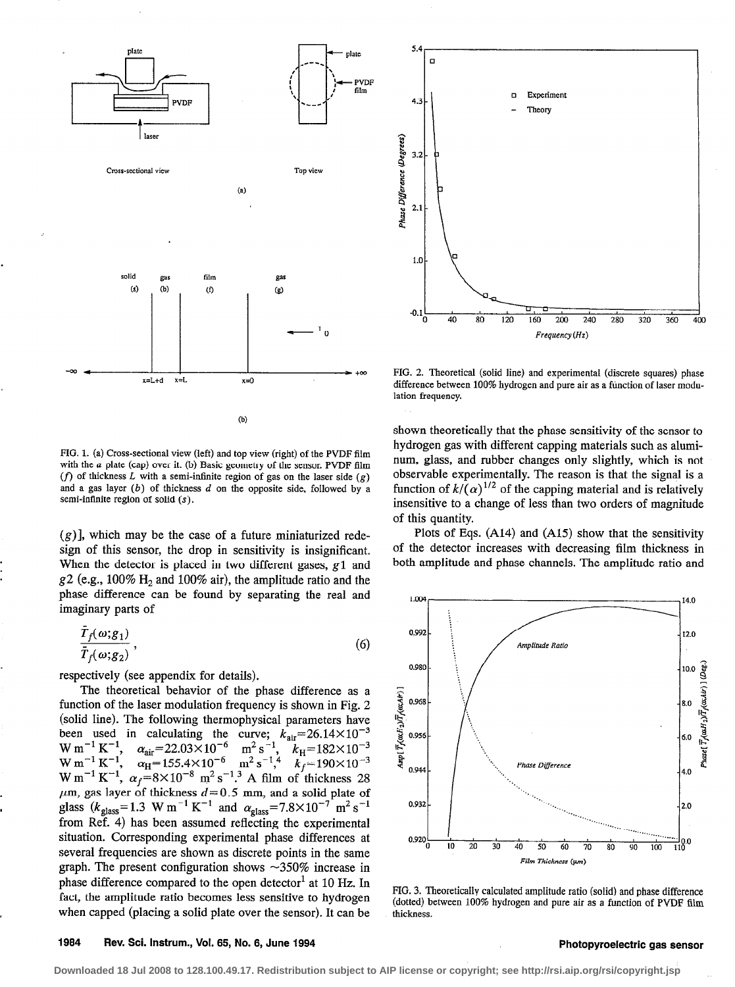



FIG. 2. Theoretical (solid line) and experimental (discrete squares) phase difference between 100% hydrogen and pure air as a function of laser modulation frequency.

FIG. 1. (a) Cross-sectional view (left) and top view (right) of the PVDF film with the a plate (cap) over it. (b) Basic geometry of the sensor. PVDF film (f) of thickness L with a semi-infinite region of gas on the laser side (g) and a gas layer  $(b)$  of thickness  $d$  on the opposite side, followed by a semi-infinite region of solid  $(s)$ .

 $(g)$ ], which may be the case of a future miniaturized redesign of this sensor, the drop in sensitivity is insignificant. When the detector is placed in two different gases, g1 and  $g2$  (e.g., 100% H<sub>2</sub> and 100% air), the amplitude ratio and the phase difference can be found by separating the real and imaginary parts of

$$
\frac{T_f(\omega;g_1)}{\bar{T}_f(\omega;g_2)},\tag{6}
$$

respectively (see appendix for details).

The theoretical behavior of the phase difference as a function of the laser modulation frequency is shown in Fig. 2 (solid line). The following thermophysical parameters have been used in calculating the curve;  $k_{\text{air}} = 26.14 \times 10^{-3}$  $W \text{ m}$ <sup>-</sup>  $W m$   $K$  $\alpha_{\text{air}}$ =22.03×10 m<sup>2</sup> s<sup>-</sup>, k<sub>H</sub>=182×10 <sup>3</sup>  $\alpha_{\text{H}}$ =155.4×10  $^{\circ}$  m<sup>2</sup> s<sup>-1</sup>,<sup>4</sup> k<sub>f</sub>=190×10 W m  $\cdot$  K  $\cdot$ ,  $\alpha_f$ =8X10  $\cdot$  m<sup>2</sup>s  $\cdot$ . A film of thickness 28  $\mu$ m, gas layer of thickness  $d = 0.5$  mm, and a solid plate of glass  $(k_{\text{glass}}=1.3 \text{ W m} \cdot \text{K}$  and  $\alpha_{\text{glass}}=7.8\times10^{-7} \text{ m} \cdot \text{s}^{-1}$ from Ref. 4) has been assumed reflecting the experimental situation. Corresponding experimental phase differences at several frequencies are shown as discrete points in the same graph. The present configuration shows  $\sim$ 350% increase in phase difference compared to the open detector<sup>1</sup> at 10 Hz. In fact, the amplitude ratio becomes less sensitive to hydrogen when capped (placing a solid plate over the sensor). It can be

shown theoretically that the phase sensitivity of the sensor to hydrogen gas with different capping materials such as aluminum, glass, and rubber changes only slightly, which is not observable experimentally. The reason is that the signal is a function of  $k/(\alpha)^{1/2}$  of the capping material and is relatively insensitive to a change of less than two orders of magnitude of this quantity.

Plots of Eqs. (A14) and (A15) show that the sensitivity of the detector increases with decreasing film thickness in both amplitude and phase channels. The amplitude ratio and



FIG. 3. Theoretically calculated amplitude ratio (solid) and phase difference (dotted) between 100% hydrogen and pure air as a function of PVDF film thickness.

### 1984 Rev. Sci. Instrum., Vol. 65, No. 6, June 1994 **Photopyroelectric gas sensor** Photopyroelectric gas sensor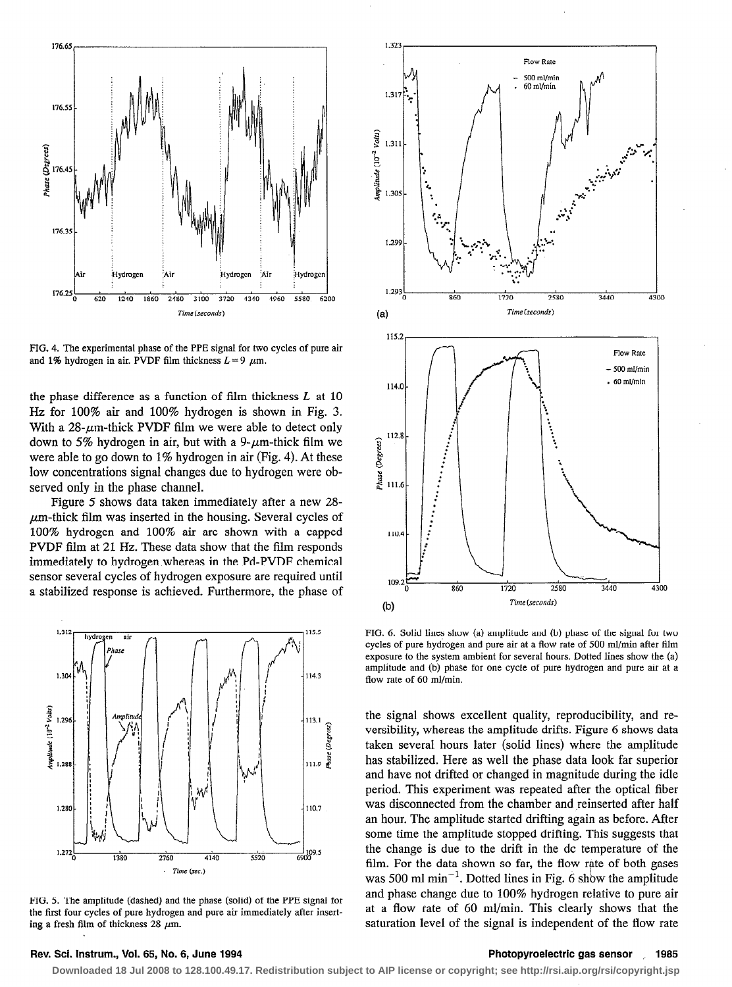

FIG. 4. The experimental phase of the PPE signal for two cycles of pure air and 1% hydrogen in air. PVDF film thickness  $L=9 \mu m$ .

the phase difference as a function of film thickness  $L$  at  $10$ Hz for 100% air and 100% hydrogen is shown in Pig. 3. With a  $28$ - $\mu$ m-thick PVDF film we were able to detect only down to 5% hydrogen in air, but with a 9- $\mu$ m-thick film we were able to go down to 1% hydrogen in air (Fig. 4). At these low concentrations signal changes due to hydrogen were observed only in the phase channel.

Figure 5 shows data taken immediately after a new 28-  $\mu$ m-thick film was inserted in the housing. Several cycles of 100% hydrogen and 100% air are shown with a capped PVDF film at 21 Hz. These data show that the film responds immediately to hydrogen whereas in the Pd-PVDF chemical sensor several cycles of hydrogen exposure are required until a stabilized response is achieved. Furthermore, the phase of



FIG. 5. The amplitude (dashed) and the phase (solid) of the PPE signal for the first four cycles of pure hydrogen and pure air immediately after inserting a fresh film of thickness 28  $\mu$ m.



FIG. 6. Solid lines show (a) amplitude and (b) phase of the signal for two cycles of pure hydrogen and pure air at a flow rate of 500 ml/min after film exposure to the system ambient for several hours. Dotted lines show the (a) amplitude and (b) phase for one cycle of pure hydrogen and pure air at a flow rate of 60 ml/min.

the signal shows excellent quality, reproducibility, and reversibility, whereas the amplitude drifts. Figure 6 shows data taken several hours later (solid lines) where the amplitude has stabilized. Here as well the phase data look far superior and have not drifted or changed in magnitude during the idle period. This experiment was repeated after the optical fiber was disconnected from the chamber and reinserted after half an hour. The amplitude started drifting again as before. After some time the amplitude stopped drifting. This suggests that the change is due to the drift in the dc temperature of the film. For the data shown so far, the flow rate of both gases was 500 ml  $min^{-1}$ . Dotted lines in Fig. 6 show the amplitude and phase change due to 100% hydrogen relative to pure air at a flow rate of 60 ml/min. This clearly shows that the saturation level of the signal is independent of the flow rate

### Rev. Sci. Instrum., Vol. 65, No. 6, June 1994 **Photopyroelectric gas sensor** , . 1985

**Downloaded 18 Jul 2008 to 128.100.49.17. Redistribution subject to AIP license or copyright; see http://rsi.aip.org/rsi/copyright.jsp**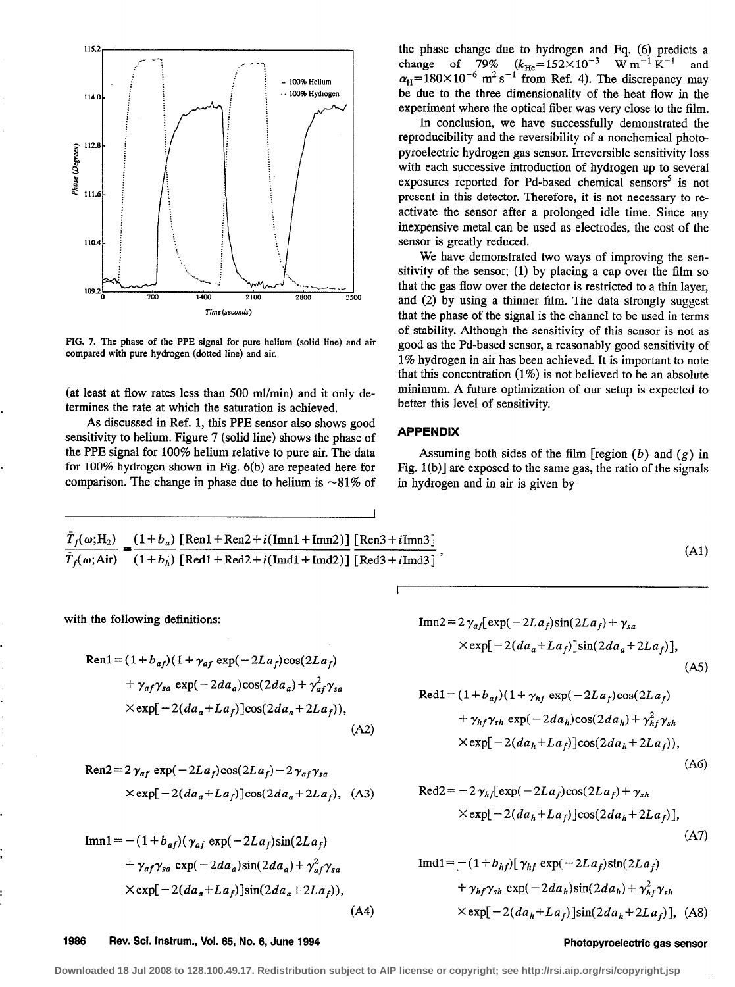

FIG. 7. The phase of the PPE signal for pure helium (solid line) and air compared with pure hydrogen (dotted line) and air.

(at least at flow rates less than 500 ml/min) and it only determines the rate at which the saturation is achieved.

As discussed in Ref. 1, this PPE sensor also shows good sensitivity to helium. Figure 7 (solid line) shows the phase of the PPE signal for 100% helium relative to pure air. The data for  $100\%$  hydrogen shown in Fig.  $6(b)$  are repeated here for comparison. The change in phase due to helium is  $\sim 81\%$  of

the phase change due to hydrogen and Eq. (6) predicts a change of 79%  $(k_{\text{He}} = 152 \times 10^{-3} \text{ W m}^{-1} \text{ K}^{-1}$  and<br>  $\alpha_{\text{H}} = 180 \times 10^{-6} \text{ m}^2 \text{ s}^{-1}$  from Ref. 4). The discrepancy may be due to the three dimensionality of the heat flow in the experiment where the optical fiber was very close to the film.

In conclusion, we have successfully demonstrated the reproducibility and the reversibility of a nonchemical photopyroelectric hydrogen gas sensor. Irreversible sensitivity loss with each successive introduction of hydrogen up to several exposures reported for Pd-based chemical sensors<sup>5</sup> is not present in this detector. Therefore, it is not necessary to reactivate the sensor after a prolonged idle time. Since any inexpensive metal can be used as electrodes, the cost of the sensor is greatly reduced.

We have demonstrated two ways of improving the sensitivity of the sensor; (1) by placing a cap over the film so that the gas flow over the detector is restricted to a thin laver. and (2) by using a thinner film. The data strongly suggest that the phase of the signal is the channel to be used in terms of stability. Although the sensitivity of this sensor is not as good as the Pd-based sensor, a reasonably good sensitivity of 1% hydrogen in air has been achieved. It is important to note that this concentration  $(1\%)$  is not believed to be an absolute minimum. A future optimization of our setup is expected to better this level of sensitivity.

## **APPENDIX**

Assuming both sides of the film [region  $(b)$  and  $(g)$  in Fig.  $1(b)$ ] are exposed to the same gas, the ratio of the signals in hydrogen and in air is given by

$$
\frac{\bar{T}_f(\omega; \text{H}_2)}{\bar{T}_f(\omega; \text{Air})} = \frac{(1+b_a)}{(1+b_h)} \frac{\text{[Ren1+Ren2}+i(\text{Im}1+\text{Im}12)]}{\text{[Red1+Red2}+i(\text{Im}1+\text{Im}12)]} \frac{\text{[Ren3}+i\text{Im}13\text{]}}{\text{[Red3}+i\text{Im}13\text{]}}\,,\tag{A1}
$$

with the following definitions:

$$
Ren1 = (1 + b_{af})(1 + \gamma_{af} \exp(-2La_f)\cos(2La_f)
$$
  
+  $\gamma_{af}\gamma_{sa} \exp(-2da_a)\cos(2da_a) + \gamma_{af}^2\gamma_{sa}$   
 $\times \exp[-2(da_a + La_f)]\cos(2da_a + 2La_f)),$  (A2)

$$
\text{Ren2} = 2\,\gamma_{af} \, \exp(-2La_f)\cos(2La_f) - 2\,\gamma_{af}\,\gamma_{sa}
$$
\n
$$
\times \exp[-2(da_a + La_f)]\cos(2da_a + 2La_f), \quad \text{(A3)}
$$

$$
\text{Im}1 = -(1 + b_{af})(\gamma_{af} \exp(-2La_f)\sin(2La_f) + \gamma_{af}\gamma_{sa} \exp(-2da_a)\sin(2da_a) + \gamma_{af}^2\gamma_{sa} \times \exp[-2(da_a + La_f)]\sin(2da_a + 2La_f)),
$$
\n(A4)

$$
\begin{aligned} \text{Im} \eta &= 2 \gamma_{af} \left[ \exp(-2La_f) \sin(2La_f) + \gamma_{sa} \right] \\ &\times \exp[-2(da_a + La_f)] \sin(2da_a + 2La_f)], \end{aligned} \tag{A5}
$$

$$
Red1 = (1 + b_{af})(1 + \gamma_{hf} \exp(-2La_f)\cos(2La_f)
$$
  
+  $\gamma_{hf}\gamma_{sh} \exp(-2da_h)\cos(2da_h) + \gamma_{hf}^2\gamma_{sh}$   
 $\times \exp[-2(da_h + La_f)]\cos(2da_h + 2La_f)),$ 

$$
(\mathbf{A6})
$$

$$
Red2 = -2\gamma_{hf} [exp(-2La_f)cos(2La_f) + \gamma_{sh}
$$
  
×exp[-2(da\_h+La\_f)]cos(2da\_h+2La\_f)], (A7)

$$
\begin{aligned} \text{Imd1} &= -(1 + b_{hf}) [\gamma_{hf} \exp(-2La_f)\sin(2La_f) \\ &+ \gamma_{hf}\gamma_{sh} \exp(-2da_h)\sin(2da_h) + \gamma_{hf}^2\gamma_{sh} \\ &\times \exp[-2(da_h + La_f)]\sin(2da_h + 2La_f)], \text{ (A8)} \end{aligned}
$$

### 1986 Rev. Sci. Instrum., Vol. 65, No. 6, June 1994

### Photopyroelectric gas sensor

Downloaded 18 Jul 2008 to 128.100.49.17. Redistribution subject to AIP license or copyright; see http://rsi.aip.org/rsi/copyright.jsp